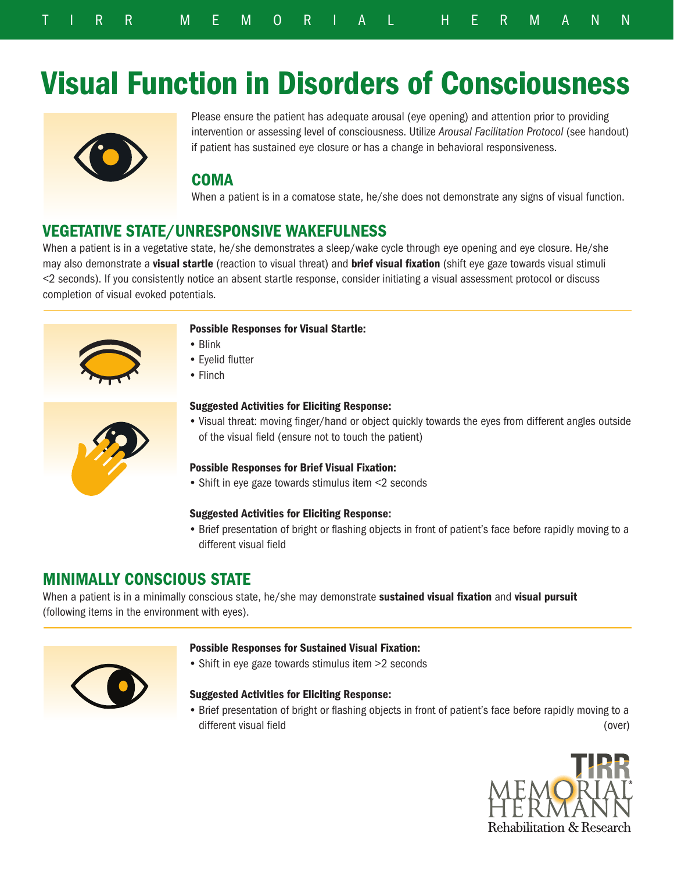# Visual Function in Disorders of Consciousness



Please ensure the patient has adequate arousal (eye opening) and attention prior to providing intervention or assessing level of consciousness. Utilize *Arousal Facilitation Protocol* (see handout) if patient has sustained eye closure or has a change in behavioral responsiveness.

# COMA

When a patient is in a comatose state, he/she does not demonstrate any signs of visual function.

# VEGETATIVE STATE/UNRESPONSIVE WAKEFULNESS

When a patient is in a vegetative state, he/she demonstrates a sleep/wake cycle through eye opening and eye closure. He/she may also demonstrate a **visual startle** (reaction to visual threat) and **brief visual fixation** (shift eye gaze towards visual stimuli <2 seconds). If you consistently notice an absent startle response, consider initiating a visual assessment protocol or discuss completion of visual evoked potentials.



## Possible Responses for Visual Startle:

- Blink
- Eyelid flutter
- Flinch



## Suggested Activities for Eliciting Response:

• Visual threat: moving finger/hand or object quickly towards the eyes from different angles outside of the visual field (ensure not to touch the patient)

## Possible Responses for Brief Visual Fixation:

• Shift in eye gaze towards stimulus item <2 seconds

# Suggested Activities for Eliciting Response:

• Brief presentation of bright or flashing objects in front of patient's face before rapidly moving to a different visual field

# MINIMALLY CONSCIOUS STATE

When a patient is in a minimally conscious state, he/she may demonstrate sustained visual fixation and visual pursuit (following items in the environment with eyes).



## Possible Responses for Sustained Visual Fixation:

• Shift in eye gaze towards stimulus item >2 seconds

## Suggested Activities for Eliciting Response:

(over) • Brief presentation of bright or flashing objects in front of patient's face before rapidly moving to a different visual field